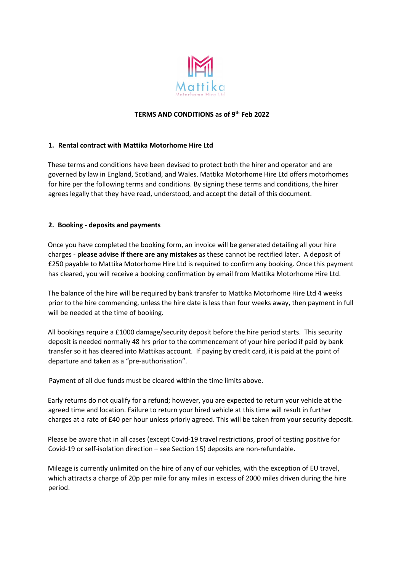

### **TERMS AND CONDITIONS as of 9th Feb 2022**

### **1. Rental contract with Mattika Motorhome Hire Ltd**

These terms and conditions have been devised to protect both the hirer and operator and are governed by law in England, Scotland, and Wales. Mattika Motorhome Hire Ltd offers motorhomes for hire per the following terms and conditions. By signing these terms and conditions, the hirer agrees legally that they have read, understood, and accept the detail of this document.

### **2. Booking - deposits and payments**

Once you have completed the booking form, an invoice will be generated detailing all your hire charges - **please advise if there are any mistakes** as these cannot be rectified later. A deposit of £250 payable to Mattika Motorhome Hire Ltd is required to confirm any booking. Once this payment has cleared, you will receive a booking confirmation by email from Mattika Motorhome Hire Ltd.

The balance of the hire will be required by bank transfer to Mattika Motorhome Hire Ltd 4 weeks prior to the hire commencing, unless the hire date is less than four weeks away, then payment in full will be needed at the time of booking.

All bookings require a £1000 damage/security deposit before the hire period starts. This security deposit is needed normally 48 hrs prior to the commencement of your hire period if paid by bank transfer so it has cleared into Mattikas account. If paying by credit card, it is paid at the point of departure and taken as a "pre-authorisation".

Payment of all due funds must be cleared within the time limits above.

Early returns do not qualify for a refund; however, you are expected to return your vehicle at the agreed time and location. Failure to return your hired vehicle at this time will result in further charges at a rate of £40 per hour unless priorly agreed. This will be taken from your security deposit.

Please be aware that in all cases (except Covid-19 travel restrictions, proof of testing positive for Covid-19 or self-isolation direction – see Section 15) deposits are non-refundable.

Mileage is currently unlimited on the hire of any of our vehicles, with the exception of EU travel, which attracts a charge of 20p per mile for any miles in excess of 2000 miles driven during the hire period.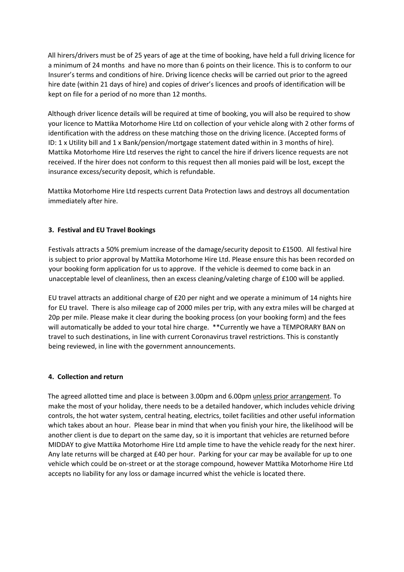All hirers/drivers must be of 25 years of age at the time of booking, have held a full driving licence for a minimum of 24 months and have no more than 6 points on their licence. This is to conform to our Insurer's terms and conditions of hire. Driving licence checks will be carried out prior to the agreed hire date (within 21 days of hire) and copies of driver's licences and proofs of identification will be kept on file for a period of no more than 12 months.

Although driver licence details will be required at time of booking, you will also be required to show your licence to Mattika Motorhome Hire Ltd on collection of your vehicle along with 2 other forms of identification with the address on these matching those on the driving licence. (Accepted forms of ID: 1 x Utility bill and 1 x Bank/pension/mortgage statement dated within in 3 months of hire). Mattika Motorhome Hire Ltd reserves the right to cancel the hire if drivers licence requests are not received. If the hirer does not conform to this request then all monies paid will be lost, except the insurance excess/security deposit, which is refundable.

Mattika Motorhome Hire Ltd respects current Data Protection laws and destroys all documentation immediately after hire.

## **3. Festival and EU Travel Bookings**

Festivals attracts a 50% premium increase of the damage/security deposit to £1500. All festival hire is subject to prior approval by Mattika Motorhome Hire Ltd. Please ensure this has been recorded on your booking form application for us to approve. If the vehicle is deemed to come back in an unacceptable level of cleanliness, then an excess cleaning/valeting charge of £100 will be applied.

EU travel attracts an additional charge of £20 per night and we operate a minimum of 14 nights hire for EU travel. There is also mileage cap of 2000 miles per trip, with any extra miles will be charged at 20p per mile. Please make it clear during the booking process (on your booking form) and the fees will automatically be added to your total hire charge. \*\* Currently we have a TEMPORARY BAN on travel to such destinations, in line with current Coronavirus travel restrictions. This is constantly being reviewed, in line with the government announcements.

#### **4. Collection and return**

The agreed allotted time and place is between 3.00pm and 6.00pm unless prior arrangement. To make the most of your holiday, there needs to be a detailed handover, which includes vehicle driving controls, the hot water system, central heating, electrics, toilet facilities and other useful information which takes about an hour. Please bear in mind that when you finish your hire, the likelihood will be another client is due to depart on the same day, so it is important that vehicles are returned before MIDDAY to give Mattika Motorhome Hire Ltd ample time to have the vehicle ready for the next hirer. Any late returns will be charged at £40 per hour. Parking for your car may be available for up to one vehicle which could be on-street or at the storage compound, however Mattika Motorhome Hire Ltd accepts no liability for any loss or damage incurred whist the vehicle is located there.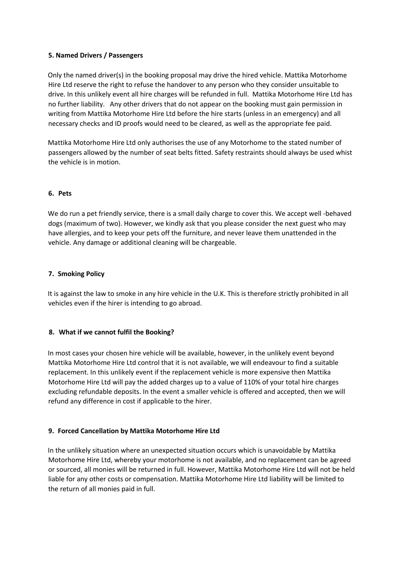### **5. Named Drivers / Passengers**

Only the named driver(s) in the booking proposal may drive the hired vehicle. Mattika Motorhome Hire Ltd reserve the right to refuse the handover to any person who they consider unsuitable to drive. In this unlikely event all hire charges will be refunded in full. Mattika Motorhome Hire Ltd has no further liability. Any other drivers that do not appear on the booking must gain permission in writing from Mattika Motorhome Hire Ltd before the hire starts (unless in an emergency) and all necessary checks and ID proofs would need to be cleared, as well as the appropriate fee paid.

Mattika Motorhome Hire Ltd only authorises the use of any Motorhome to the stated number of passengers allowed by the number of seat belts fitted. Safety restraints should always be used whist the vehicle is in motion.

## **6. Pets**

We do run a pet friendly service, there is a small daily charge to cover this. We accept well -behaved dogs (maximum of two). However, we kindly ask that you please consider the next guest who may have allergies, and to keep your pets off the furniture, and never leave them unattended in the vehicle. Any damage or additional cleaning will be chargeable.

### **7. Smoking Policy**

It is against the law to smoke in any hire vehicle in the U.K. This is therefore strictly prohibited in all vehicles even if the hirer is intending to go abroad.

#### **8. What if we cannot fulfil the Booking?**

In most cases your chosen hire vehicle will be available, however, in the unlikely event beyond Mattika Motorhome Hire Ltd control that it is not available, we will endeavour to find a suitable replacement. In this unlikely event if the replacement vehicle is more expensive then Mattika Motorhome Hire Ltd will pay the added charges up to a value of 110% of your total hire charges excluding refundable deposits. In the event a smaller vehicle is offered and accepted, then we will refund any difference in cost if applicable to the hirer.

#### **9. Forced Cancellation by Mattika Motorhome Hire Ltd**

In the unlikely situation where an unexpected situation occurs which is unavoidable by Mattika Motorhome Hire Ltd, whereby your motorhome is not available, and no replacement can be agreed or sourced, all monies will be returned in full. However, Mattika Motorhome Hire Ltd will not be held liable for any other costs or compensation. Mattika Motorhome Hire Ltd liability will be limited to the return of all monies paid in full.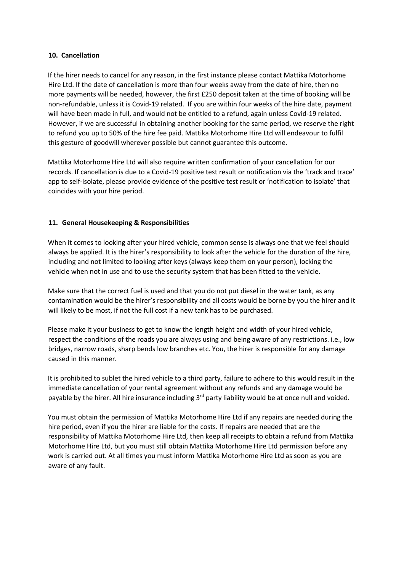### **10. Cancellation**

If the hirer needs to cancel for any reason, in the first instance please contact Mattika Motorhome Hire Ltd. If the date of cancellation is more than four weeks away from the date of hire, then no more payments will be needed, however, the first £250 deposit taken at the time of booking will be non-refundable, unless it is Covid-19 related. If you are within four weeks of the hire date, payment will have been made in full, and would not be entitled to a refund, again unless Covid-19 related. However, if we are successful in obtaining another booking for the same period, we reserve the right to refund you up to 50% of the hire fee paid. Mattika Motorhome Hire Ltd will endeavour to fulfil this gesture of goodwill wherever possible but cannot guarantee this outcome.

Mattika Motorhome Hire Ltd will also require written confirmation of your cancellation for our records. If cancellation is due to a Covid-19 positive test result or notification via the 'track and trace' app to self-isolate, please provide evidence of the positive test result or 'notification to isolate' that coincides with your hire period.

## **11. General Housekeeping & Responsibilities**

When it comes to looking after your hired vehicle, common sense is always one that we feel should always be applied. It is the hirer's responsibility to look after the vehicle for the duration of the hire, including and not limited to looking after keys (always keep them on your person), locking the vehicle when not in use and to use the security system that has been fitted to the vehicle.

Make sure that the correct fuel is used and that you do not put diesel in the water tank, as any contamination would be the hirer's responsibility and all costs would be borne by you the hirer and it will likely to be most, if not the full cost if a new tank has to be purchased.

Please make it your business to get to know the length height and width of your hired vehicle, respect the conditions of the roads you are always using and being aware of any restrictions. i.e., low bridges, narrow roads, sharp bends low branches etc. You, the hirer is responsible for any damage caused in this manner.

It is prohibited to sublet the hired vehicle to a third party, failure to adhere to this would result in the immediate cancellation of your rental agreement without any refunds and any damage would be payable by the hirer. All hire insurance including 3<sup>rd</sup> party liability would be at once null and voided.

You must obtain the permission of Mattika Motorhome Hire Ltd if any repairs are needed during the hire period, even if you the hirer are liable for the costs. If repairs are needed that are the responsibility of Mattika Motorhome Hire Ltd, then keep all receipts to obtain a refund from Mattika Motorhome Hire Ltd, but you must still obtain Mattika Motorhome Hire Ltd permission before any work is carried out. At all times you must inform Mattika Motorhome Hire Ltd as soon as you are aware of any fault.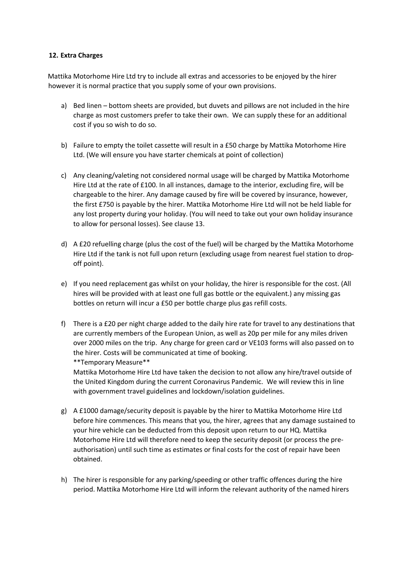### **12. Extra Charges**

Mattika Motorhome Hire Ltd try to include all extras and accessories to be enjoyed by the hirer however it is normal practice that you supply some of your own provisions.

- a) Bed linen bottom sheets are provided, but duvets and pillows are not included in the hire charge as most customers prefer to take their own. We can supply these for an additional cost if you so wish to do so.
- b) Failure to empty the toilet cassette will result in a £50 charge by Mattika Motorhome Hire Ltd. (We will ensure you have starter chemicals at point of collection)
- c) Any cleaning/valeting not considered normal usage will be charged by Mattika Motorhome Hire Ltd at the rate of £100. In all instances, damage to the interior, excluding fire, will be chargeable to the hirer. Any damage caused by fire will be covered by insurance, however, the first £750 is payable by the hirer. Mattika Motorhome Hire Ltd will not be held liable for any lost property during your holiday. (You will need to take out your own holiday insurance to allow for personal losses). See clause 13.
- d) A £20 refuelling charge (plus the cost of the fuel) will be charged by the Mattika Motorhome Hire Ltd if the tank is not full upon return (excluding usage from nearest fuel station to dropoff point).
- e) If you need replacement gas whilst on your holiday, the hirer is responsible for the cost. (All hires will be provided with at least one full gas bottle or the equivalent.) any missing gas bottles on return will incur a £50 per bottle charge plus gas refill costs.
- f) There is a £20 per night charge added to the daily hire rate for travel to any destinations that are currently members of the European Union, as well as 20p per mile for any miles driven over 2000 miles on the trip. Any charge for green card or VE103 forms will also passed on to the hirer. Costs will be communicated at time of booking. \*\*Temporary Measure\*\*

Mattika Motorhome Hire Ltd have taken the decision to not allow any hire/travel outside of the United Kingdom during the current Coronavirus Pandemic. We will review this in line with government travel guidelines and lockdown/isolation guidelines.

- g) A £1000 damage/security deposit is payable by the hirer to Mattika Motorhome Hire Ltd before hire commences. This means that you, the hirer, agrees that any damage sustained to your hire vehicle can be deducted from this deposit upon return to our HQ. Mattika Motorhome Hire Ltd will therefore need to keep the security deposit (or process the preauthorisation) until such time as estimates or final costs for the cost of repair have been obtained.
- h) The hirer is responsible for any parking/speeding or other traffic offences during the hire period. Mattika Motorhome Hire Ltd will inform the relevant authority of the named hirers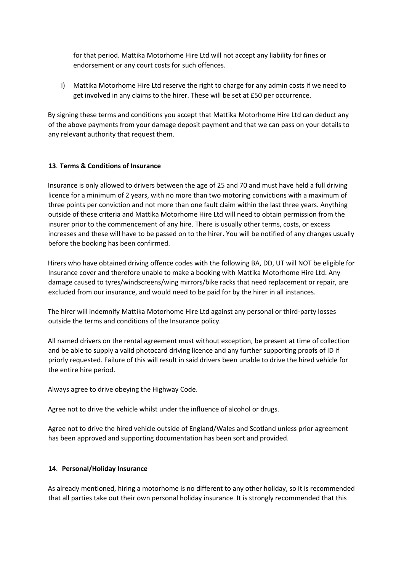for that period. Mattika Motorhome Hire Ltd will not accept any liability for fines or endorsement or any court costs for such offences.

i) Mattika Motorhome Hire Ltd reserve the right to charge for any admin costs if we need to get involved in any claims to the hirer. These will be set at £50 per occurrence.

By signing these terms and conditions you accept that Mattika Motorhome Hire Ltd can deduct any of the above payments from your damage deposit payment and that we can pass on your details to any relevant authority that request them.

## **13**. **Terms & Conditions of Insurance**

Insurance is only allowed to drivers between the age of 25 and 70 and must have held a full driving licence for a minimum of 2 years, with no more than two motoring convictions with a maximum of three points per conviction and not more than one fault claim within the last three years. Anything outside of these criteria and Mattika Motorhome Hire Ltd will need to obtain permission from the insurer prior to the commencement of any hire. There is usually other terms, costs, or excess increases and these will have to be passed on to the hirer. You will be notified of any changes usually before the booking has been confirmed.

Hirers who have obtained driving offence codes with the following BA, DD, UT will NOT be eligible for Insurance cover and therefore unable to make a booking with Mattika Motorhome Hire Ltd. Any damage caused to tyres/windscreens/wing mirrors/bike racks that need replacement or repair, are excluded from our insurance, and would need to be paid for by the hirer in all instances.

The hirer will indemnify Mattika Motorhome Hire Ltd against any personal or third-party losses outside the terms and conditions of the Insurance policy.

All named drivers on the rental agreement must without exception, be present at time of collection and be able to supply a valid photocard driving licence and any further supporting proofs of ID if priorly requested. Failure of this will result in said drivers been unable to drive the hired vehicle for the entire hire period.

Always agree to drive obeying the Highway Code.

Agree not to drive the vehicle whilst under the influence of alcohol or drugs.

Agree not to drive the hired vehicle outside of England/Wales and Scotland unless prior agreement has been approved and supporting documentation has been sort and provided.

## **14**. **Personal/Holiday Insurance**

As already mentioned, hiring a motorhome is no different to any other holiday, so it is recommended that all parties take out their own personal holiday insurance. It is strongly recommended that this